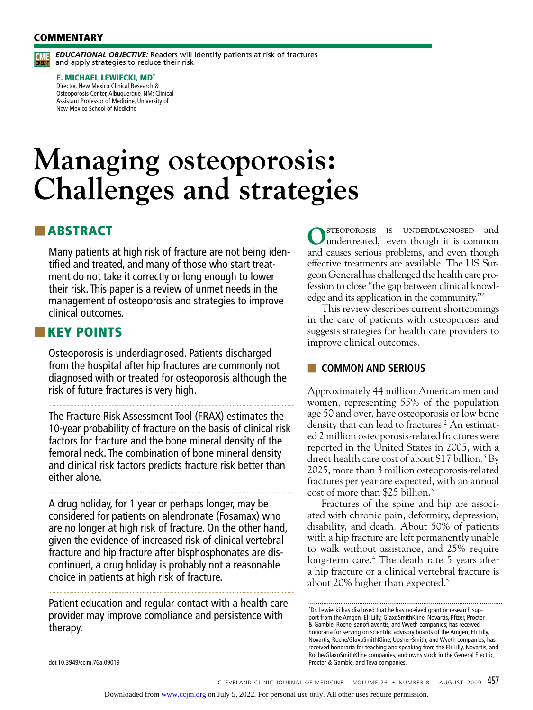#### **COMMENTARY**



*EDUCATIONAL OBJECTIVE:* Readers will identify patients at risk of fractures **CME** EDUCATIONAL OBJECTIVE: Readers will<br>**CREDIT** and apply strategies to reduce their risk

#### E. Michael Lewiecki, MD\* Director, New Mexico Clinical Research & Osteoporosis Center, Albuquerque, NM; Clinical Assistant Professor of Medicine, University of New Mexico School of Medicine

# **Managing osteoporosis: Challenges and strategies**

## ■ ABSTRACT

Many patients at high risk of fracture are not being identified and treated, and many of those who start treatment do not take it correctly or long enough to lower their risk. This paper is a review of unmet needs in the management of osteoporosis and strategies to improve clinical outcomes.

## **EXEY POINTS**

Osteoporosis is underdiagnosed. Patients discharged from the hospital after hip fractures are commonly not diagnosed with or treated for osteoporosis although the risk of future fractures is very high.

The Fracture Risk Assessment Tool (FRAX) estimates the 10-year probability of fracture on the basis of clinical risk factors for fracture and the bone mineral density of the femoral neck. The combination of bone mineral density and clinical risk factors predicts fracture risk better than either alone.

A drug holiday, for 1 year or perhaps longer, may be considered for patients on alendronate (Fosamax) who are no longer at high risk of fracture. On the other hand, given the evidence of increased risk of clinical vertebral fracture and hip fracture after bisphosphonates are discontinued, a drug holiday is probably not a reasonable choice in patients at high risk of fracture.

Patient education and regular contact with a health care provider may improve compliance and persistence with therapy.

**O**steoporosis is undertheated, even though it is common and causes serious problems, and even though effective treatments are available. The US Surgeon General has challenged the health care profession to close "the gap between clinical knowledge and its application in the community."2

This review describes current shortcomings in the care of patients with osteoporosis and suggests strategies for health care providers to improve clinical outcomes.

#### ■ **COMMON AND SERIOUS**

Approximately 44 million American men and women, representing 55% of the population age 50 and over, have osteoporosis or low bone density that can lead to fractures.2 An estimated 2 million osteoporosis-related fractures were reported in the United States in 2005, with a direct health care cost of about \$17 billion.<sup>3</sup> By 2025, more than 3 million osteoporosis-related fractures per year are expected, with an annual cost of more than \$25 billion.<sup>3</sup>

Fractures of the spine and hip are associated with chronic pain, deformity, depression, disability, and death. About 50% of patients with a hip fracture are left permanently unable to walk without assistance, and 25% require long-term care.4 The death rate 5 years after a hip fracture or a clinical vertebral fracture is about 20% higher than expected.<sup>5</sup>

doi:10.3949/ccjm.76a.09019

<sup>\*</sup> Dr. Lewiecki has disclosed that he has received grant or research support from the Amgen, Eli Lilly, GlaxoSmithKline, Novartis, Pfizer, Procter & Gamble, Roche, sanofi aventis, and Wyeth companies; has received honoraria for serving on scientific advisory boards of the Amgen, Eli Lilly, Novartis, Roche/GlaxoSmithKline, Upsher-Smith, and Wyeth companies; has received honoraria for teaching and speaking from the Eli Lilly, Novartis, and Roche/GlaxoSmithKline companies; and owns stock in the General Electric, Procter & Gamble, and Teva companies.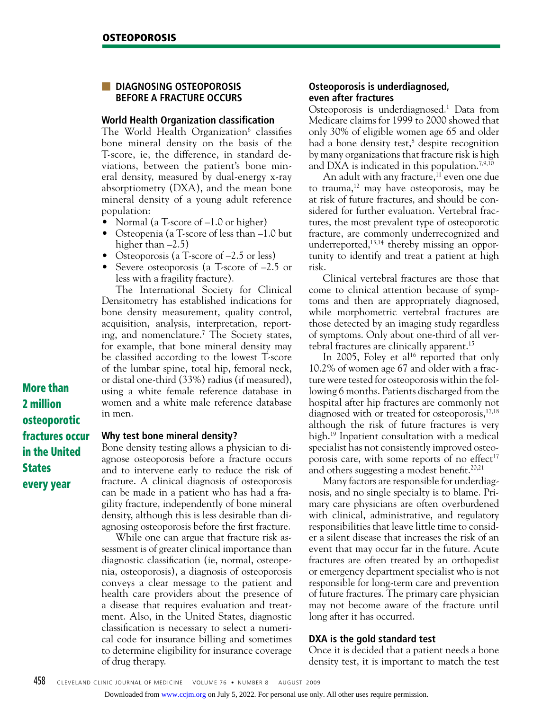#### ■ **Diagnosi NG OSTEOPOROSIS BEFORE A FRACTURE OCCURS**

#### **World Health Organization classification**

The World Health Organization<sup>6</sup> classifies bone mineral density on the basis of the T-score, ie, the difference, in standard deviations, between the patient's bone mineral density, measured by dual-energy x-ray absorptiometry (DXA), and the mean bone mineral density of a young adult reference population:

- Normal (a T-score of  $-1.0$  or higher)
- Osteopenia (a T-score of less than  $-1.0$  but higher than –2.5)
- Osteoporosis (a T-score of  $-2.5$  or less)
- Severe osteoporosis (a T-score of  $-2.5$  or less with a fragility fracture).

The International Society for Clinical Densitometry has established indications for bone density measurement, quality control, acquisition, analysis, interpretation, reporting, and nomenclature.7 The Society states, for example, that bone mineral density may be classified according to the lowest T-score of the lumbar spine, total hip, femoral neck, or distal one-third (33%) radius (if measured), using a white female reference database in women and a white male reference database in men.

More than 2 million osteoporotic fractures occur in the United **States** every year

#### **Why test bone mineral density?**

Bone density testing allows a physician to diagnose osteoporosis before a fracture occurs and to intervene early to reduce the risk of fracture. A clinical diagnosis of osteoporosis can be made in a patient who has had a fragility fracture, independently of bone mineral density, although this is less desirable than diagnosing osteoporosis before the first fracture.

While one can argue that fracture risk assessment is of greater clinical importance than diagnostic classification (ie, normal, osteopenia, osteoporosis), a diagnosis of osteoporosis conveys a clear message to the patient and health care providers about the presence of a disease that requires evaluation and treatment. Also, in the United States, diagnostic classification is necessary to select a numerical code for insurance billing and sometimes to determine eligibility for insurance coverage of drug therapy.

## **Osteoporosis is underdiagnosed, even after fractures**

Osteoporosis is underdiagnosed.<sup>1</sup> Data from Medicare claims for 1999 to 2000 showed that only 30% of eligible women age 65 and older had a bone density test,<sup>8</sup> despite recognition by many organizations that fracture risk is high and DXA is indicated in this population.<sup>7,9,10</sup>

An adult with any fracture, $11$  even one due to trauma, $12 \text{ may have osteoporosis, may be}$ at risk of future fractures, and should be considered for further evaluation. Vertebral fractures, the most prevalent type of osteoporotic fracture, are commonly underrecognized and underreported,<sup>13,14</sup> thereby missing an opportunity to identify and treat a patient at high risk.

Clinical vertebral fractures are those that come to clinical attention because of symptoms and then are appropriately diagnosed, while morphometric vertebral fractures are those detected by an imaging study regardless of symptoms. Only about one-third of all vertebral fractures are clinically apparent.<sup>15</sup>

In 2005, Foley et al<sup>16</sup> reported that only 10.2% of women age 67 and older with a fracture were tested for osteoporosis within the following 6 months. Patients discharged from the hospital after hip fractures are commonly not diagnosed with or treated for osteoporosis,<sup>17,18</sup> although the risk of future fractures is very high.<sup>19</sup> Inpatient consultation with a medical specialist has not consistently improved osteoporosis care, with some reports of no effect $17$ and others suggesting a modest benefit.<sup>20,21</sup>

Many factors are responsible for underdiagnosis, and no single specialty is to blame. Primary care physicians are often overburdened with clinical, administrative, and regulatory responsibilities that leave little time to consider a silent disease that increases the risk of an event that may occur far in the future. Acute fractures are often treated by an orthopedist or emergency department specialist who is not responsible for long-term care and prevention of future fractures. The primary care physician may not become aware of the fracture until long after it has occurred.

#### **DXA is the gold standard test**

Once it is decided that a patient needs a bone density test, it is important to match the test

Downloaded from [www.ccjm.org](http://www.ccjm.org/) on July 5, 2022. For personal use only. All other uses require permission.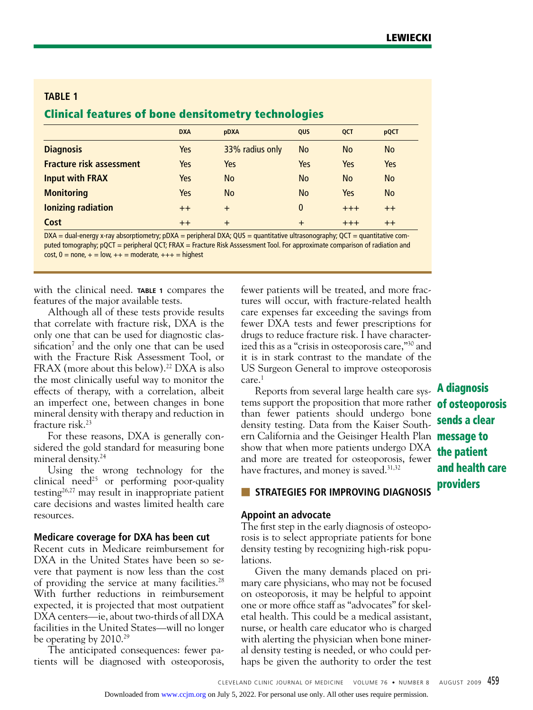## **TABLE 1**

## Clinical features of bone densitometry technologies

**Cost** ++ + + +++ ++  $DXA = dual-energy x-ray absorptionetry$ ;  $pDXA = peripheral DXA$ ;  $QUS = quantitative ultrasonography$ ;  $QCT = quantitative com$ puted tomography; pQCT = peripheral QCT; FRAX = Fracture Risk Asssessment Tool. For approximate comparison of radiation and  $cost, 0 = none, + = low, ++ = moderate, ++ + = highest$ 

**Diagnosis** Yes 33% radius only No No No **Fracture risk assessment** Yes Yes Yes Yes Yes **Input with FRAX** Yes No No No No **Monitoring** Yes No No Yes No **Ionizing radiation**  $++$   $+$   $-$  0  $++$   $+$ 

with the clinical need. **Table 1** compares the features of the major available tests.

Although all of these tests provide results that correlate with fracture risk, DXA is the only one that can be used for diagnostic classification<sup>7</sup> and the only one that can be used with the Fracture Risk Assessment Tool, or FRAX (more about this below).<sup>22</sup> DXA is also the most clinically useful way to monitor the effects of therapy, with a correlation, albeit an imperfect one, between changes in bone mineral density with therapy and reduction in fracture risk.<sup>23</sup>

For these reasons, DXA is generally considered the gold standard for measuring bone mineral density.<sup>24</sup>

Using the wrong technology for the clinical need<sup>25</sup> or performing poor-quality testing<sup>26,27</sup> may result in inappropriate patient care decisions and wastes limited health care resources.

#### **Medicare coverage for DXA has been cut**

Recent cuts in Medicare reimbursement for DXA in the United States have been so severe that payment is now less than the cost of providing the service at many facilities.28 With further reductions in reimbursement expected, it is projected that most outpatient DXA centers—ie, about two-thirds of all DXA facilities in the United States—will no longer be operating by 2010.<sup>29</sup>

The anticipated consequences: fewer patients will be diagnosed with osteoporosis, fewer patients will be treated, and more fractures will occur, with fracture-related health care expenses far exceeding the savings from fewer DXA tests and fewer prescriptions for drugs to reduce fracture risk. I have characterized this as a "crisis in osteoporosis care,"30 and it is in stark contrast to the mandate of the US Surgeon General to improve osteoporosis care.<sup>1</sup>

Reports from several large health care sys- **A diagnosis** tems support the proposition that more rather of osteoporosis than fewer patients should undergo bone density testing. Data from the Kaiser Southern California and the Geisinger Health Plan message to show that when more patients undergo DXA and more are treated for osteoporosis, fewer have fractures, and money is saved.<sup>31,32</sup>

## ■ **Strategies for improving diagnosis**

#### **Appoint an advocate**

**DXA pDXA QUS QCT pQCT**

The first step in the early diagnosis of osteoporosis is to select appropriate patients for bone density testing by recognizing high-risk populations.

Given the many demands placed on primary care physicians, who may not be focused on osteoporosis, it may be helpful to appoint one or more office staff as "advocates" for skeletal health. This could be a medical assistant, nurse, or health care educator who is charged with alerting the physician when bone mineral density testing is needed, or who could perhaps be given the authority to order the test

sends a clear the patient and health care providers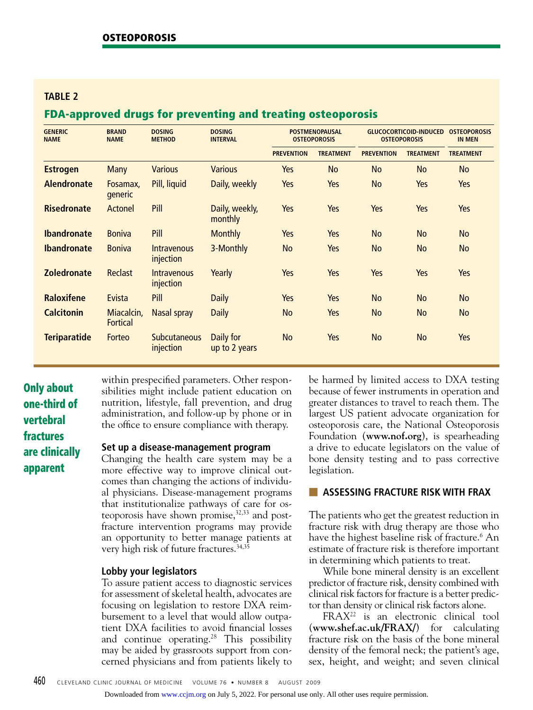### **TABLE 2**

## FDA-approved drugs for preventing and treating osteoporosis

| <b>GENERIC</b><br><b>NAME</b> | <b>BRAND</b><br><b>NAME</b>   | <b>DOSING</b><br><b>METHOD</b>   | <b>DOSING</b><br><b>INTERVAL</b> | <b>POSTMENOPAUSAL</b><br><b>OSTEOPOROSIS</b> |                  | <b>GLUCOCORTICOID-INDUCED</b><br><b>OSTEOPOROSIS</b> |                  | <b>OSTEOPOROSIS</b><br><b>IN MEN</b> |
|-------------------------------|-------------------------------|----------------------------------|----------------------------------|----------------------------------------------|------------------|------------------------------------------------------|------------------|--------------------------------------|
|                               |                               |                                  |                                  | <b>PREVENTION</b>                            | <b>TREATMENT</b> | <b>PREVENTION</b>                                    | <b>TREATMENT</b> | <b>TREATMENT</b>                     |
| <b>Estrogen</b>               | Many                          | <b>Various</b>                   | <b>Various</b>                   | Yes                                          | <b>No</b>        | <b>No</b>                                            | <b>No</b>        | <b>No</b>                            |
| <b>Alendronate</b>            | Fosamax,<br><b>generic</b>    | Pill, liquid                     | Daily, weekly                    | Yes                                          | Yes              | <b>No</b>                                            | <b>Yes</b>       | <b>Yes</b>                           |
| <b>Risedronate</b>            | Actonel                       | Pill                             | Daily, weekly,<br>monthly        | Yes                                          | Yes              | Yes                                                  | <b>Yes</b>       | <b>Yes</b>                           |
| <b>Ibandronate</b>            | <b>Boniva</b>                 | Pill                             | <b>Monthly</b>                   | Yes                                          | Yes              | <b>No</b>                                            | <b>No</b>        | <b>No</b>                            |
| <b>Ibandronate</b>            | <b>Boniva</b>                 | <b>Intravenous</b><br>injection  | 3-Monthly                        | <b>No</b>                                    | Yes              | <b>No</b>                                            | <b>No</b>        | <b>No</b>                            |
| <b>Zoledronate</b>            | Reclast                       | <b>Intravenous</b><br>injection  | Yearly                           | Yes                                          | Yes              | Yes                                                  | <b>Yes</b>       | <b>Yes</b>                           |
| <b>Raloxifene</b>             | Evista                        | Pill                             | <b>Daily</b>                     | Yes                                          | Yes              | <b>No</b>                                            | <b>No</b>        | No                                   |
| <b>Calcitonin</b>             | Miacalcin,<br><b>Fortical</b> | Nasal spray                      | <b>Daily</b>                     | No                                           | Yes              | No                                                   | <b>No</b>        | <b>No</b>                            |
| <b>Teriparatide</b>           | Forteo                        | <b>Subcutaneous</b><br>injection | Daily for<br>up to 2 years       | No                                           | Yes              | No                                                   | <b>No</b>        | <b>Yes</b>                           |

Only about one-third of vertebral fractures are clinically apparent

within prespecified parameters. Other responsibilities might include patient education on nutrition, lifestyle, fall prevention, and drug administration, and follow-up by phone or in the office to ensure compliance with therapy.

#### **Set up a disease-management program**

Changing the health care system may be a more effective way to improve clinical outcomes than changing the actions of individual physicians. Disease-management programs that institutionalize pathways of care for osteoporosis have shown promise, $32,33$  and postfracture intervention programs may provide an opportunity to better manage patients at very high risk of future fractures.34,35

#### **Lobby your legislators**

To assure patient access to diagnostic services for assessment of skeletal health, advocates are focusing on legislation to restore DXA reimbursement to a level that would allow outpatient DXA facilities to avoid financial losses and continue operating.<sup>28</sup> This possibility may be aided by grassroots support from concerned physicians and from patients likely to

be harmed by limited access to DXA testing because of fewer instruments in operation and greater distances to travel to reach them. The largest US patient advocate organization for osteoporosis care, the National Osteoporosis Foundation (**www.nof.org**), is spearheading a drive to educate legislators on the value of bone density testing and to pass corrective legislation.

#### ■ **ASSESSING Fracture risk WITH FRAX**

The patients who get the greatest reduction in fracture risk with drug therapy are those who have the highest baseline risk of fracture.6 An estimate of fracture risk is therefore important in determining which patients to treat.

While bone mineral density is an excellent predictor of fracture risk, density combined with clinical risk factors for fracture is a better predictor than density or clinical risk factors alone.

FRAX22 is an electronic clinical tool (**www.shef.ac.uk/FRAX/**) for calculating fracture risk on the basis of the bone mineral density of the femoral neck; the patient's age, sex, height, and weight; and seven clinical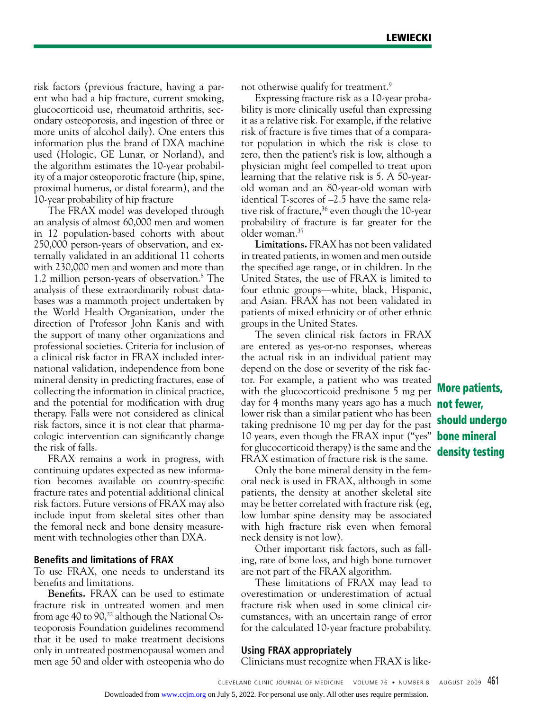risk factors (previous fracture, having a parent who had a hip fracture, current smoking, glucocorticoid use, rheumatoid arthritis, secondary osteoporosis, and ingestion of three or more units of alcohol daily). One enters this information plus the brand of DXA machine used (Hologic, GE Lunar, or Norland), and the algorithm estimates the 10-year probability of a major osteoporotic fracture (hip, spine, proximal humerus, or distal forearm), and the 10-year probability of hip fracture

The FRAX model was developed through an analysis of almost 60,000 men and women in 12 population-based cohorts with about 250,000 person-years of observation, and externally validated in an additional 11 cohorts with 230,000 men and women and more than 1.2 million person-years of observation.8 The analysis of these extraordinarily robust databases was a mammoth project undertaken by the World Health Organization, under the direction of Professor John Kanis and with the support of many other organizations and professional societies. Criteria for inclusion of a clinical risk factor in FRAX included international validation, independence from bone mineral density in predicting fractures, ease of collecting the information in clinical practice, and the potential for modification with drug therapy. Falls were not considered as clinical risk factors, since it is not clear that pharmacologic intervention can significantly change the risk of falls.

FRAX remains a work in progress, with continuing updates expected as new information becomes available on country-specific fracture rates and potential additional clinical risk factors. Future versions of FRAX may also include input from skeletal sites other than the femoral neck and bone density measurement with technologies other than DXA.

#### **Benefits and limitations of FRAX**

To use FRAX, one needs to understand its benefits and limitations.

**Benefits.** FRAX can be used to estimate fracture risk in untreated women and men from age  $40$  to  $90$ <sup>22</sup> although the National Osteoporosis Foundation guidelines recommend that it be used to make treatment decisions only in untreated postmenopausal women and men age 50 and older with osteopenia who do

not otherwise qualify for treatment.9

Expressing fracture risk as a 10-year probability is more clinically useful than expressing it as a relative risk. For example, if the relative risk of fracture is five times that of a comparator population in which the risk is close to zero, then the patient's risk is low, although a physician might feel compelled to treat upon learning that the relative risk is 5. A 50-yearold woman and an 80-year-old woman with identical T-scores of –2.5 have the same relative risk of fracture,  $36$  even though the 10-year probability of fracture is far greater for the older woman.37

**Limitations.** FRAX has not been validated in treated patients, in women and men outside the specified age range, or in children. In the United States, the use of FRAX is limited to four ethnic groups—white, black, Hispanic, and Asian. FRAX has not been validated in patients of mixed ethnicity or of other ethnic groups in the United States.

The seven clinical risk factors in FRAX are entered as yes-or-no responses, whereas the actual risk in an individual patient may depend on the dose or severity of the risk factor. For example, a patient who was treated with the glucocorticoid prednisone 5 mg per **More patients,** day for 4 months many years ago has a much **not fewer**, lower risk than a similar patient who has been taking prednisone 10 mg per day for the past 10 years, even though the FRAX input ("yes" **bone mineral** for glucocorticoid therapy) is the same and the FRAX estimation of fracture risk is the same.

Only the bone mineral density in the femoral neck is used in FRAX, although in some patients, the density at another skeletal site may be better correlated with fracture risk (eg, low lumbar spine density may be associated with high fracture risk even when femoral neck density is not low).

Other important risk factors, such as falling, rate of bone loss, and high bone turnover are not part of the FRAX algorithm.

These limitations of FRAX may lead to overestimation or underestimation of actual fracture risk when used in some clinical circumstances, with an uncertain range of error for the calculated 10-year fracture probability.

#### **Using FRAX appropriately**

Clinicians must recognize when FRAX is like-

should undergo density testing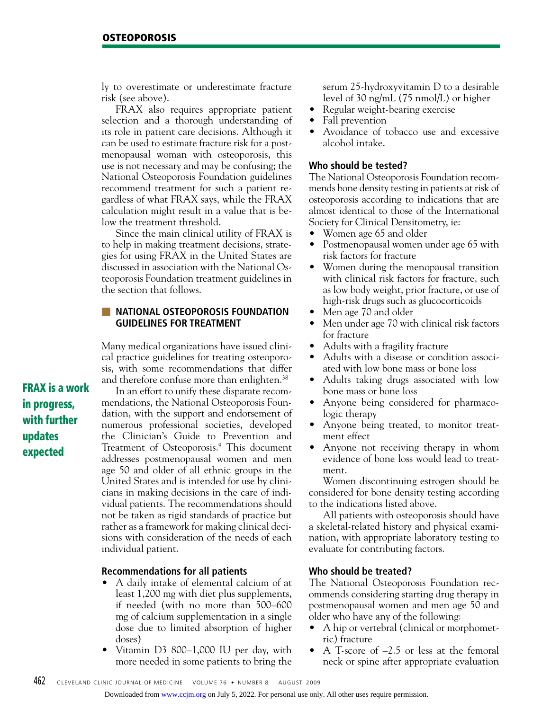ly to overestimate or underestimate fracture risk (see above).

FRAX also requires appropriate patient selection and a thorough understanding of its role in patient care decisions. Although it can be used to estimate fracture risk for a postmenopausal woman with osteoporosis, this use is not necessary and may be confusing; the National Osteoporosis Foundation guidelines recommend treatment for such a patient regardless of what FRAX says, while the FRAX calculation might result in a value that is below the treatment threshold.

Since the main clinical utility of FRAX is to help in making treatment decisions, strategies for using FRAX in the United States are discussed in association with the National Osteoporosis Foundation treatment guidelines in the section that follows.

### ■ **NATIONAL OSTEOPOROSIS FOUNDATION GUIDELINES FOR Treatment**

Many medical organizations have issued clinical practice guidelines for treating osteoporosis, with some recommendations that differ and therefore confuse more than enlighten.<sup>38</sup>

In an effort to unify these disparate recommendations, the National Osteoporosis Foundation, with the support and endorsement of numerous professional societies, developed the Clinician's Guide to Prevention and Treatment of Osteoporosis.9 This document addresses postmenopausal women and men age 50 and older of all ethnic groups in the United States and is intended for use by clinicians in making decisions in the care of individual patients. The recommendations should not be taken as rigid standards of practice but rather as a framework for making clinical decisions with consideration of the needs of each individual patient.

#### **Recommendations for all patients**

- A daily intake of elemental calcium of at least 1,200 mg with diet plus supplements, if needed (with no more than 500–600 mg of calcium supplementation in a single dose due to limited absorption of higher doses)
- Vitamin D3 800–1,000 IU per day, with more needed in some patients to bring the

serum 25-hydroxyvitamin D to a desirable level of 30 ng/mL (75 nmol/L) or higher

- Regular weight-bearing exercise
- Fall prevention
- Avoidance of tobacco use and excessive alcohol intake.

## **Who should be tested?**

The National Osteoporosis Foundation recommends bone density testing in patients at risk of osteoporosis according to indications that are almost identical to those of the International Society for Clinical Densitometry, ie:

- Women age 65 and older
- Postmenopausal women under age 65 with risk factors for fracture
- Women during the menopausal transition with clinical risk factors for fracture, such as low body weight, prior fracture, or use of high-risk drugs such as glucocorticoids
- Men age 70 and older
- Men under age 70 with clinical risk factors for fracture
- Adults with a fragility fracture
- Adults with a disease or condition associated with low bone mass or bone loss
- Adults taking drugs associated with low bone mass or bone loss
- Anyone being considered for pharmacologic therapy
- Anyone being treated, to monitor treatment effect
- Anyone not receiving therapy in whom evidence of bone loss would lead to treatment.

Women discontinuing estrogen should be considered for bone density testing according to the indications listed above.

All patients with osteoporosis should have a skeletal-related history and physical examination, with appropriate laboratory testing to evaluate for contributing factors.

## **Who should be treated?**

The National Osteoporosis Foundation recommends considering starting drug therapy in postmenopausal women and men age 50 and older who have any of the following:

- A hip or vertebral (clinical or morphometric) fracture
- A T-score of  $-2.5$  or less at the femoral neck or spine after appropriate evaluation

FRAX is a work in progress, with further updates expected

Downloaded from [www.ccjm.org](http://www.ccjm.org/) on July 5, 2022. For personal use only. All other uses require permission.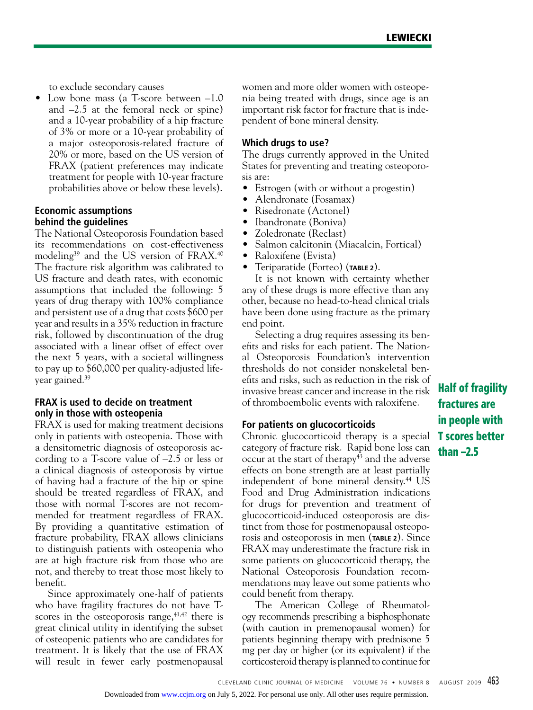to exclude secondary causes

• Low bone mass (a T-score between  $-1.0$ and –2.5 at the femoral neck or spine) and a 10-year probability of a hip fracture of 3% or more or a 10-year probability of a major osteoporosis-related fracture of 20% or more, based on the US version of FRAX (patient preferences may indicate treatment for people with 10-year fracture probabilities above or below these levels).

### **Economic assumptions behind the guidelines**

The National Osteoporosis Foundation based its recommendations on cost-effectiveness modeling<sup>39</sup> and the US version of FRAX.<sup>40</sup> The fracture risk algorithm was calibrated to US fracture and death rates, with economic assumptions that included the following: 5 years of drug therapy with 100% compliance and persistent use of a drug that costs \$600 per year and results in a 35% reduction in fracture risk, followed by discontinuation of the drug associated with a linear offset of effect over the next 5 years, with a societal willingness to pay up to \$60,000 per quality-adjusted lifeyear gained.<sup>39</sup>

## **FRAX is used to decide on treatment only in those with osteopenia**

FRAX is used for making treatment decisions only in patients with osteopenia. Those with a densitometric diagnosis of osteoporosis according to a T-score value of –2.5 or less or a clinical diagnosis of osteoporosis by virtue of having had a fracture of the hip or spine should be treated regardless of FRAX, and those with normal T-scores are not recommended for treatment regardless of FRAX. By providing a quantitative estimation of fracture probability, FRAX allows clinicians to distinguish patients with osteopenia who are at high fracture risk from those who are not, and thereby to treat those most likely to benefit.

Since approximately one-half of patients who have fragility fractures do not have Tscores in the osteoporosis range,<sup>41,42</sup> there is great clinical utility in identifying the subset of osteopenic patients who are candidates for treatment. It is likely that the use of FRAX will result in fewer early postmenopausal women and more older women with osteopenia being treated with drugs, since age is an important risk factor for fracture that is independent of bone mineral density.

## **Which drugs to use?**

The drugs currently approved in the United States for preventing and treating osteoporosis are:

- Estrogen (with or without a progestin)
- Alendronate (Fosamax)
- Risedronate (Actonel)
- Ibandronate (Boniva)
- Zoledronate (Reclast)
- Salmon calcitonin (Miacalcin, Fortical)
- Raloxifene (Evista)
- • Teriparatide (Forteo) (**Table 2**).

It is not known with certainty whether any of these drugs is more effective than any other, because no head-to-head clinical trials have been done using fracture as the primary end point.

Selecting a drug requires assessing its benefits and risks for each patient. The National Osteoporosis Foundation's intervention thresholds do not consider nonskeletal benefits and risks, such as reduction in the risk of invasive breast cancer and increase in the risk of thromboembolic events with raloxifene.

## **For patients on glucocorticoids**

Chronic glucocorticoid therapy is a special **T scores better** category of fracture risk. Rapid bone loss can occur at the start of therapy<sup>43</sup> and the adverse effects on bone strength are at least partially independent of bone mineral density.44 US Food and Drug Administration indications for drugs for prevention and treatment of glucocorticoid-induced osteoporosis are distinct from those for postmenopausal osteoporosis and osteoporosis in men (**Table 2**). Since FRAX may underestimate the fracture risk in some patients on glucocorticoid therapy, the National Osteoporosis Foundation recommendations may leave out some patients who could benefit from therapy.

The American College of Rheumatology recommends prescribing a bisphosphonate (with caution in premenopausal women) for patients beginning therapy with prednisone 5 mg per day or higher (or its equivalent) if the corticosteroid therapy is planned to continue for

Half of fragility fractures are in people with than –2.5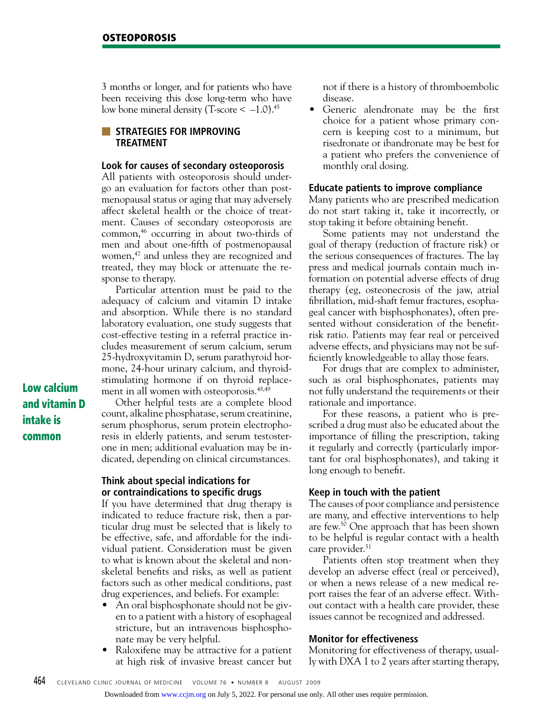3 months or longer, and for patients who have been receiving this dose long-term who have low bone mineral density (T-score  $\leq -1.0$ ).<sup>45</sup>

#### $\blacksquare$  **STRATEGIES FOR IMPROVING treatment**

#### **Look for causes of secondary osteoporosis**

All patients with osteoporosis should undergo an evaluation for factors other than postmenopausal status or aging that may adversely affect skeletal health or the choice of treatment. Causes of secondary osteoporosis are common,46 occurring in about two-thirds of men and about one-fifth of postmenopausal women,<sup>47</sup> and unless they are recognized and treated, they may block or attenuate the response to therapy.

Particular attention must be paid to the adequacy of calcium and vitamin D intake and absorption. While there is no standard laboratory evaluation, one study suggests that cost-effective testing in a referral practice includes measurement of serum calcium, serum 25-hydroxyvitamin D, serum parathyroid hormone, 24-hour urinary calcium, and thyroidstimulating hormone if on thyroid replacement in all women with osteoporosis.<sup>48,49</sup>

Low calcium and vitamin D intake is common

Other helpful tests are a complete blood count, alkaline phosphatase, serum creatinine, serum phosphorus, serum protein electrophoresis in elderly patients, and serum testosterone in men; additional evaluation may be indicated, depending on clinical circumstances.

#### **Think about special indications for or contraindications to specific drugs**

If you have determined that drug therapy is indicated to reduce fracture risk, then a particular drug must be selected that is likely to be effective, safe, and affordable for the individual patient. Consideration must be given to what is known about the skeletal and nonskeletal benefits and risks, as well as patient factors such as other medical conditions, past drug experiences, and beliefs. For example:

- An oral bisphosphonate should not be given to a patient with a history of esophageal stricture, but an intravenous bisphosphonate may be very helpful.
- Raloxifene may be attractive for a patient at high risk of invasive breast cancer but

not if there is a history of thromboembolic disease.

Generic alendronate may be the first choice for a patient whose primary concern is keeping cost to a minimum, but risedronate or ibandronate may be best for a patient who prefers the convenience of monthly oral dosing.

#### **Educate patients to improve compliance**

Many patients who are prescribed medication do not start taking it, take it incorrectly, or stop taking it before obtaining benefit.

Some patients may not understand the goal of therapy (reduction of fracture risk) or the serious consequences of fractures. The lay press and medical journals contain much information on potential adverse effects of drug therapy (eg, osteonecrosis of the jaw, atrial fibrillation, mid-shaft femur fractures, esophageal cancer with bisphosphonates), often presented without consideration of the benefitrisk ratio. Patients may fear real or perceived adverse effects, and physicians may not be sufficiently knowledgeable to allay those fears.

For drugs that are complex to administer, such as oral bisphosphonates, patients may not fully understand the requirements or their rationale and importance.

For these reasons, a patient who is prescribed a drug must also be educated about the importance of filling the prescription, taking it regularly and correctly (particularly important for oral bisphosphonates), and taking it long enough to benefit.

#### **Keep in touch with the patient**

The causes of poor compliance and persistence are many, and effective interventions to help are few.50 One approach that has been shown to be helpful is regular contact with a health care provider.<sup>51</sup>

Patients often stop treatment when they develop an adverse effect (real or perceived), or when a news release of a new medical report raises the fear of an adverse effect. Without contact with a health care provider, these issues cannot be recognized and addressed.

### **Monitor for effectiveness**

Monitoring for effectiveness of therapy, usually with DXA 1 to 2 years after starting therapy,

Downloaded from [www.ccjm.org](http://www.ccjm.org/) on July 5, 2022. For personal use only. All other uses require permission.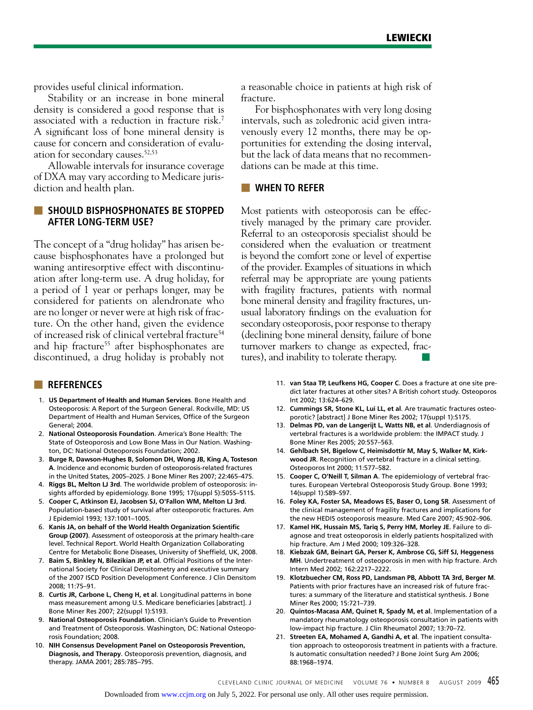provides useful clinical information.

Stability or an increase in bone mineral density is considered a good response that is associated with a reduction in fracture risk.7 A significant loss of bone mineral density is cause for concern and consideration of evaluation for secondary causes.52,53

Allowable intervals for insurance coverage of DXA may vary according to Medicare jurisdiction and health plan.

#### ■ **SHOULD BISPHOSPHONATES BE STOPPED AFTER LONG-TERM USE?**

The concept of a "drug holiday" has arisen because bisphosphonates have a prolonged but waning antiresorptive effect with discontinuation after long-term use. A drug holiday, for a period of 1 year or perhaps longer, may be considered for patients on alendronate who are no longer or never were at high risk of fracture. On the other hand, given the evidence of increased risk of clinical vertebral fracture<sup>54</sup> and hip fracture<sup>55</sup> after bisphosphonates are discontinued, a drug holiday is probably not

#### ■ **References**

- 1. **US Department of Health and Human Services**. Bone Health and Osteoporosis: A Report of the Surgeon General. Rockville, MD: US Department of Health and Human Services, Office of the Surgeon General; 2004.
- 2. **National Osteoporosis Foundation**. America's Bone Health: The State of Osteoporosis and Low Bone Mass in Our Nation. Washington, DC: National Osteoporosis Foundation; 2002.
- 3. **Burge R, Dawson-Hughes B, Solomon DH, Wong JB, King A, Tosteson A**. Incidence and economic burden of osteoporosis-related fractures in the United States, 2005–2025. J Bone Miner Res 2007; 22:465–475.
- 4. **Riggs BL, Melton LJ 3rd**. The worldwide problem of osteoporosis: insights afforded by epidemiology. Bone 1995; 17(suppl 5):505S–511S.
- 5. **Cooper C, Atkinson EJ, Jacobsen SJ, O'Fallon WM, Melton LJ 3rd**. Population-based study of survival after osteoporotic fractures. Am J Epidemiol 1993; 137:1001–1005.
- 6. **Kanis JA, on behalf of the World Health Organization Scientific Group (2007)**. Assessment of osteoporosis at the primary health-care level. Technical Report. World Health Organization Collaborating Centre for Metabolic Bone Diseases, University of Sheffield, UK, 2008.
- 7. **Baim S, Binkley N, Bilezikian JP, et al**. Official Positions of the International Society for Clinical Densitometry and executive summary of the 2007 ISCD Position Development Conference. J Clin Densitom 2008; 11:75–91.
- 8. **Curtis JR, Carbone L, Cheng H, et al**. Longitudinal patterns in bone mass measurement among U.S. Medicare beneficiaries [abstract]. J Bone Miner Res 2007; 22(suppl 1):S193.
- 9. **National Osteoporosis Foundation**. Clinician's Guide to Prevention and Treatment of Osteoporosis. Washington, DC: National Osteoporosis Foundation; 2008.
- 10. **NIH Consensus Development Panel on Osteoporosis Prevention, Diagnosis, and Therapy**. Osteoporosis prevention, diagnosis, and therapy. JAMA 2001; 285:785–795.

a reasonable choice in patients at high risk of fracture.

For bisphosphonates with very long dosing intervals, such as zoledronic acid given intravenously every 12 months, there may be opportunities for extending the dosing interval, but the lack of data means that no recommendations can be made at this time.

#### ■ **When to refer**

Most patients with osteoporosis can be effectively managed by the primary care provider. Referral to an osteoporosis specialist should be considered when the evaluation or treatment is beyond the comfort zone or level of expertise of the provider. Examples of situations in which referral may be appropriate are young patients with fragility fractures, patients with normal bone mineral density and fragility fractures, unusual laboratory findings on the evaluation for secondary osteoporosis, poor response to therapy (declining bone mineral density, failure of bone turnover markers to change as expected, fractures), and inability to tolerate therapy.

- 11. **van Staa TP, Leufkens HG, Cooper C**. Does a fracture at one site predict later fractures at other sites? A British cohort study. Osteoporos Int 2002; 13:624–629.
- 12. **Cummings SR, Stone KL, Lui LL, et al**. Are traumatic fractures osteoporotic? [abstract] J Bone Miner Res 2002; 17(suppl 1):S175.
- 13. **Delmas PD, van de Langerijt L, Watts NB, et al**. Underdiagnosis of vertebral fractures is a worldwide problem: the IMPACT study. J Bone Miner Res 2005; 20:557–563.
- 14. **Gehlbach SH, Bigelow C, Heimisdottir M, May S, Walker M, Kirkwood JR**. Recognition of vertebral fracture in a clinical setting. Osteoporos Int 2000; 11:577–582.
- 15. **Cooper C, O'Neill T, Silman A**. The epidemiology of vertebral fractures. European Vertebral Osteoporosis Study Group. Bone 1993; 14(suppl 1):S89–S97.
- 16. **Foley KA, Foster SA, Meadows ES, Baser O, Long SR**. Assessment of the clinical management of fragility fractures and implications for the new HEDIS osteoporosis measure. Med Care 2007; 45:902–906.
- 17. **Kamel HK, Hussain MS, Tariq S, Perry HM, Morley JE**. Failure to diagnose and treat osteoporosis in elderly patients hospitalized with hip fracture. Am J Med 2000; 109:326–328.
- 18. **Kiebzak GM, Beinart GA, Perser K, Ambrose CG, Siff SJ, Heggeness MH**. Undertreatment of osteoporosis in men with hip fracture. Arch Intern Med 2002; 162:2217–2222.
- 19. **Klotzbuecher CM, Ross PD, Landsman PB, Abbott TA 3rd, Berger M**. Patients with prior fractures have an increased risk of future fractures: a summary of the literature and statistical synthesis. J Bone Miner Res 2000; 15:721–739.
- 20. **Quintos-Macasa AM, Quinet R, Spady M, et al**. Implementation of a mandatory rheumatology osteoporosis consultation in patients with low-impact hip fracture. J Clin Rheumatol 2007; 13:70–72.
- 21. **Streeten EA, Mohamed A, Gandhi A, et al**. The inpatient consultation approach to osteoporosis treatment in patients with a fracture. Is automatic consultation needed? J Bone Joint Surg Am 2006; 88:1968–1974.